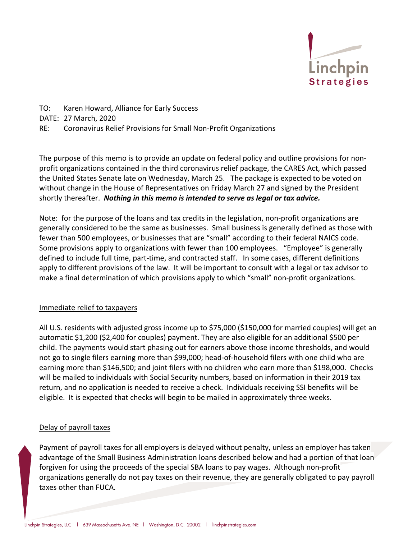

TO: Karen Howard, Alliance for Early Success

DATE: 27 March, 2020

RE: Coronavirus Relief Provisions for Small Non-Profit Organizations

The purpose of this memo is to provide an update on federal policy and outline provisions for nonprofit organizations contained in the third coronavirus relief package, the CARES Act, which passed the United States Senate late on Wednesday, March 25. The package is expected to be voted on without change in the House of Representatives on Friday March 27 and signed by the President shortly thereafter. *Nothing in this memo is intended to serve as legal or tax advice.* 

Note: for the purpose of the loans and tax credits in the legislation, non-profit organizations are generally considered to be the same as businesses. Small business is generally defined as those with fewer than 500 employees, or businesses that are "small" according to their federal NAICS code. Some provisions apply to organizations with fewer than 100 employees. "Employee" is generally defined to include full time, part-time, and contracted staff. In some cases, different definitions apply to different provisions of the law. It will be important to consult with a legal or tax advisor to make a final determination of which provisions apply to which "small" non-profit organizations.

## Immediate relief to taxpayers

All U.S. residents with adjusted gross income up to \$75,000 (\$150,000 for married couples) will get an automatic \$1,200 (\$2,400 for couples) payment. They are also eligible for an additional \$500 per child. The payments would start phasing out for earners above those income thresholds, and would not go to single filers earning more than \$99,000; head-of-household filers with one child who are earning more than \$146,500; and joint filers with no children who earn more than \$198,000. Checks will be mailed to individuals with Social Security numbers, based on information in their 2019 tax return, and no application is needed to receive a check. Individuals receiving SSI benefits will be eligible. It is expected that checks will begin to be mailed in approximately three weeks.

## Delay of payroll taxes

Payment of payroll taxes for all employers is delayed without penalty, unless an employer has taken advantage of the Small Business Administration loans described below and had a portion of that loan forgiven for using the proceeds of the special SBA loans to pay wages. Although non-profit organizations generally do not pay taxes on their revenue, they are generally obligated to pay payroll taxes other than FUCA.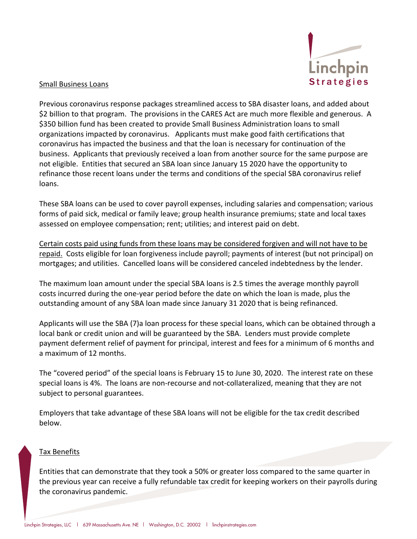

## Small Business Loans

Previous coronavirus response packages streamlined access to SBA disaster loans, and added about \$2 billion to that program. The provisions in the CARES Act are much more flexible and generous. A \$350 billion fund has been created to provide Small Business Administration loans to small organizations impacted by coronavirus. Applicants must make good faith certifications that coronavirus has impacted the business and that the loan is necessary for continuation of the business. Applicants that previously received a loan from another source for the same purpose are not eligible. Entities that secured an SBA loan since January 15 2020 have the opportunity to refinance those recent loans under the terms and conditions of the special SBA coronavirus relief loans.

These SBA loans can be used to cover payroll expenses, including salaries and compensation; various forms of paid sick, medical or family leave; group health insurance premiums; state and local taxes assessed on employee compensation; rent; utilities; and interest paid on debt.

Certain costs paid using funds from these loans may be considered forgiven and will not have to be repaid. Costs eligible for loan forgiveness include payroll; payments of interest (but not principal) on mortgages; and utilities. Cancelled loans will be considered canceled indebtedness by the lender.

The maximum loan amount under the special SBA loans is 2.5 times the average monthly payroll costs incurred during the one-year period before the date on which the loan is made, plus the outstanding amount of any SBA loan made since January 31 2020 that is being refinanced.

Applicants will use the SBA (7)a loan process for these special loans, which can be obtained through a local bank or credit union and will be guaranteed by the SBA. Lenders must provide complete payment deferment relief of payment for principal, interest and fees for a minimum of 6 months and a maximum of 12 months.

The "covered period" of the special loans is February 15 to June 30, 2020. The interest rate on these special loans is 4%. The loans are non-recourse and not-collateralized, meaning that they are not subject to personal guarantees.

Employers that take advantage of these SBA loans will not be eligible for the tax credit described below.

## Tax Benefits

Entities that can demonstrate that they took a 50% or greater loss compared to the same quarter in the previous year can receive a fully refundable tax credit for keeping workers on their payrolls during the coronavirus pandemic.